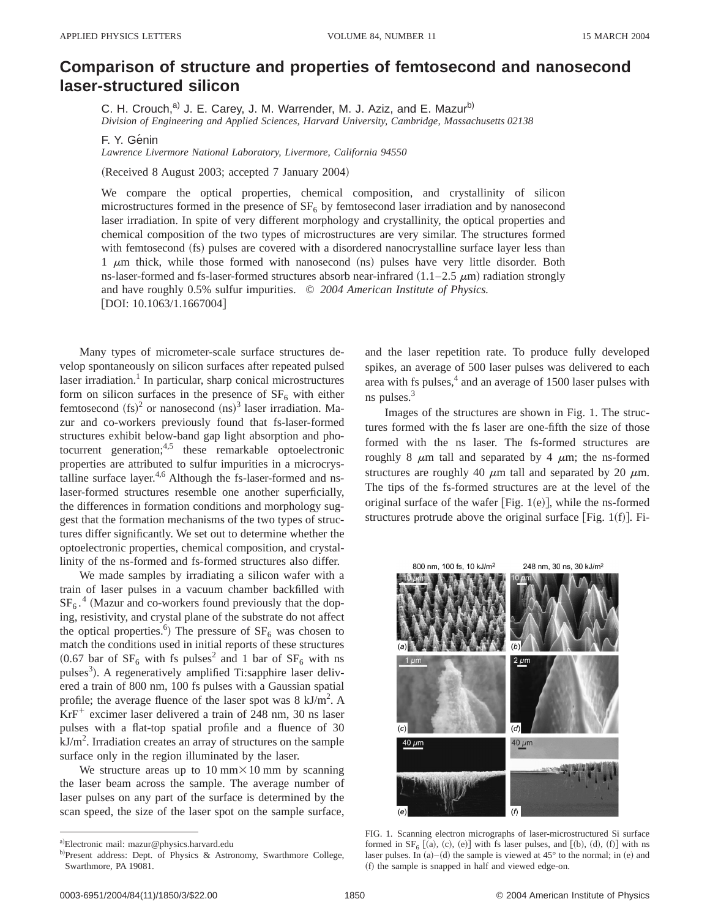## **Comparison of structure and properties of femtosecond and nanosecond laser-structured silicon**

C. H. Crouch,<sup>a)</sup> J. E. Carey, J. M. Warrender, M. J. Aziz, and E. Mazur<sup>b)</sup> *Division of Engineering and Applied Sciences, Harvard University, Cambridge, Massachusetts 02138*

F. Y. Génin

*Lawrence Livermore National Laboratory, Livermore, California 94550*

(Received 8 August 2003; accepted 7 January 2004)

We compare the optical properties, chemical composition, and crystallinity of silicon microstructures formed in the presence of  $SF<sub>6</sub>$  by femtosecond laser irradiation and by nanosecond laser irradiation. In spite of very different morphology and crystallinity, the optical properties and chemical composition of the two types of microstructures are very similar. The structures formed with femtosecond (fs) pulses are covered with a disordered nanocrystalline surface layer less than  $1 \mu m$  thick, while those formed with nanosecond  $(ms)$  pulses have very little disorder. Both ns-laser-formed and fs-laser-formed structures absorb near-infrared  $(1.1–2.5 \mu m)$  radiation strongly and have roughly 0.5% sulfur impurities. © *2004 American Institute of Physics.*  $[$ DOI: 10.1063/1.1667004 $]$ 

Many types of micrometer-scale surface structures develop spontaneously on silicon surfaces after repeated pulsed laser irradiation.<sup>1</sup> In particular, sharp conical microstructures form on silicon surfaces in the presence of  $SF_6$  with either femtosecond  $({\rm fs})^2$  or nanosecond  $({\rm ns})^3$  laser irradiation. Mazur and co-workers previously found that fs-laser-formed structures exhibit below-band gap light absorption and photocurrent generation;  $4,5$  these remarkable optoelectronic properties are attributed to sulfur impurities in a microcrystalline surface layer.<sup>4,6</sup> Although the fs-laser-formed and nslaser-formed structures resemble one another superficially, the differences in formation conditions and morphology suggest that the formation mechanisms of the two types of structures differ significantly. We set out to determine whether the optoelectronic properties, chemical composition, and crystallinity of the ns-formed and fs-formed structures also differ.

We made samples by irradiating a silicon wafer with a train of laser pulses in a vacuum chamber backfilled with  $SF_6$ .<sup>4</sup> (Mazur and co-workers found previously that the doping, resistivity, and crystal plane of the substrate do not affect the optical properties.<sup>6</sup>) The pressure of  $SF_6$  was chosen to match the conditions used in initial reports of these structures  $(0.67$  bar of  $SF<sub>6</sub>$  with fs pulses<sup>2</sup> and 1 bar of  $SF<sub>6</sub>$  with ns pulses<sup>3</sup>). A regeneratively amplified Ti:sapphire laser delivered a train of 800 nm, 100 fs pulses with a Gaussian spatial profile; the average fluence of the laser spot was  $8 \text{ kJ/m}^2$ . A  $KrF<sup>+</sup>$  excimer laser delivered a train of 248 nm, 30 ns laser pulses with a flat-top spatial profile and a fluence of 30  $kJ/m<sup>2</sup>$ . Irradiation creates an array of structures on the sample surface only in the region illuminated by the laser.

We structure areas up to  $10 \text{ mm} \times 10 \text{ mm}$  by scanning the laser beam across the sample. The average number of laser pulses on any part of the surface is determined by the scan speed, the size of the laser spot on the sample surface, and the laser repetition rate. To produce fully developed spikes, an average of 500 laser pulses was delivered to each area with fs pulses, $4$  and an average of 1500 laser pulses with ns pulses.3

Images of the structures are shown in Fig. 1. The structures formed with the fs laser are one-fifth the size of those formed with the ns laser. The fs-formed structures are roughly 8  $\mu$ m tall and separated by 4  $\mu$ m; the ns-formed structures are roughly 40  $\mu$ m tall and separated by 20  $\mu$ m. The tips of the fs-formed structures are at the level of the original surface of the wafer  $[Fig. 1(e)],$  while the ns-formed structures protrude above the original surface [Fig. 1(f)]. Fi-



FIG. 1. Scanning electron micrographs of laser-microstructured Si surface formed in  $SF_6$   $[(a), (c), (e)]$  with fs laser pulses, and  $[(b), (d), (f)]$  with ns laser pulses. In  $(a)$ – $(d)$  the sample is viewed at 45° to the normal; in  $(e)$  and (f) the sample is snapped in half and viewed edge-on.

a)Electronic mail: mazur@physics.harvard.edu

b)Present address: Dept. of Physics & Astronomy, Swarthmore College, Swarthmore, PA 19081.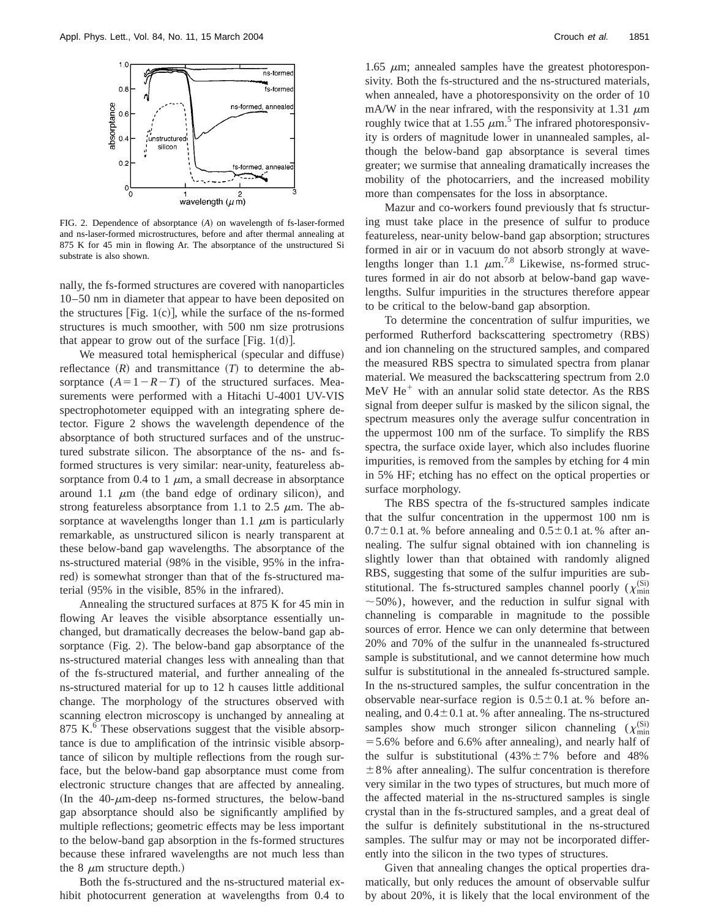

FIG. 2. Dependence of absorptance (A) on wavelength of fs-laser-formed and ns-laser-formed microstructures, before and after thermal annealing at 875 K for 45 min in flowing Ar. The absorptance of the unstructured Si substrate is also shown.

nally, the fs-formed structures are covered with nanoparticles 10–50 nm in diameter that appear to have been deposited on the structures [Fig.  $1(c)$ ], while the surface of the ns-formed structures is much smoother, with 500 nm size protrusions that appear to grow out of the surface [Fig. 1(d)].

We measured total hemispherical (specular and diffuse) reflectance  $(R)$  and transmittance  $(T)$  to determine the absorptance  $(A=1-R-T)$  of the structured surfaces. Measurements were performed with a Hitachi U-4001 UV-VIS spectrophotometer equipped with an integrating sphere detector. Figure 2 shows the wavelength dependence of the absorptance of both structured surfaces and of the unstructured substrate silicon. The absorptance of the ns- and fsformed structures is very similar: near-unity, featureless absorptance from 0.4 to 1  $\mu$ m, a small decrease in absorptance around 1.1  $\mu$ m (the band edge of ordinary silicon), and strong featureless absorptance from 1.1 to 2.5  $\mu$ m. The absorptance at wavelengths longer than 1.1  $\mu$ m is particularly remarkable, as unstructured silicon is nearly transparent at these below-band gap wavelengths. The absorptance of the ns-structured material (98% in the visible, 95% in the infrared) is somewhat stronger than that of the fs-structured material  $(95\%$  in the visible,  $85\%$  in the infrared).

Annealing the structured surfaces at 875 K for 45 min in flowing Ar leaves the visible absorptance essentially unchanged, but dramatically decreases the below-band gap absorptance  $(Fig. 2)$ . The below-band gap absorptance of the ns-structured material changes less with annealing than that of the fs-structured material, and further annealing of the ns-structured material for up to 12 h causes little additional change. The morphology of the structures observed with scanning electron microscopy is unchanged by annealing at 875 K.<sup>6</sup> These observations suggest that the visible absorptance is due to amplification of the intrinsic visible absorptance of silicon by multiple reflections from the rough surface, but the below-band gap absorptance must come from electronic structure changes that are affected by annealing. (In the  $40$ - $\mu$ m-deep ns-formed structures, the below-band gap absorptance should also be significantly amplified by multiple reflections; geometric effects may be less important to the below-band gap absorption in the fs-formed structures because these infrared wavelengths are not much less than the 8  $\mu$ m structure depth.)

Both the fs-structured and the ns-structured material exhibit photocurrent generation at wavelengths from 0.4 to

1.65  $\mu$ m; annealed samples have the greatest photoresponsivity. Both the fs-structured and the ns-structured materials, when annealed, have a photoresponsivity on the order of 10 mA/W in the near infrared, with the responsivity at 1.31  $\mu$ m roughly twice that at 1.55  $\mu$ m.<sup>5</sup> The infrared photoresponsivity is orders of magnitude lower in unannealed samples, although the below-band gap absorptance is several times greater; we surmise that annealing dramatically increases the mobility of the photocarriers, and the increased mobility more than compensates for the loss in absorptance.

Mazur and co-workers found previously that fs structuring must take place in the presence of sulfur to produce featureless, near-unity below-band gap absorption; structures formed in air or in vacuum do not absorb strongly at wavelengths longer than 1.1  $\mu$ m.<sup>7,8</sup> Likewise, ns-formed structures formed in air do not absorb at below-band gap wavelengths. Sulfur impurities in the structures therefore appear to be critical to the below-band gap absorption.

To determine the concentration of sulfur impurities, we performed Rutherford backscattering spectrometry (RBS) and ion channeling on the structured samples, and compared the measured RBS spectra to simulated spectra from planar material. We measured the backscattering spectrum from 2.0 MeV  $He<sup>+</sup>$  with an annular solid state detector. As the RBS signal from deeper sulfur is masked by the silicon signal, the spectrum measures only the average sulfur concentration in the uppermost 100 nm of the surface. To simplify the RBS spectra, the surface oxide layer, which also includes fluorine impurities, is removed from the samples by etching for 4 min in 5% HF; etching has no effect on the optical properties or surface morphology.

The RBS spectra of the fs-structured samples indicate that the sulfur concentration in the uppermost 100 nm is  $0.7\pm0.1$  at. % before annealing and  $0.5\pm0.1$  at. % after annealing. The sulfur signal obtained with ion channeling is slightly lower than that obtained with randomly aligned RBS, suggesting that some of the sulfur impurities are substitutional. The fs-structured samples channel poorly ( $\chi_{\text{min}}^{(Si)}$  $\sim$  50%), however, and the reduction in sulfur signal with channeling is comparable in magnitude to the possible sources of error. Hence we can only determine that between 20% and 70% of the sulfur in the unannealed fs-structured sample is substitutional, and we cannot determine how much sulfur is substitutional in the annealed fs-structured sample. In the ns-structured samples, the sulfur concentration in the observable near-surface region is  $0.5 \pm 0.1$  at. % before annealing, and  $0.4\pm0.1$  at. % after annealing. The ns-structured samples show much stronger silicon channeling  $(\chi_{\text{min}}^{(Si)}$  $=$  5.6% before and 6.6% after annealing), and nearly half of the sulfur is substitutional  $(43\% \pm 7\%)$  before and 48%  $\pm 8\%$  after annealing). The sulfur concentration is therefore very similar in the two types of structures, but much more of the affected material in the ns-structured samples is single crystal than in the fs-structured samples, and a great deal of the sulfur is definitely substitutional in the ns-structured samples. The sulfur may or may not be incorporated differently into the silicon in the two types of structures.

Given that annealing changes the optical properties dramatically, but only reduces the amount of observable sulfur by about 20%, it is likely that the local environment of the